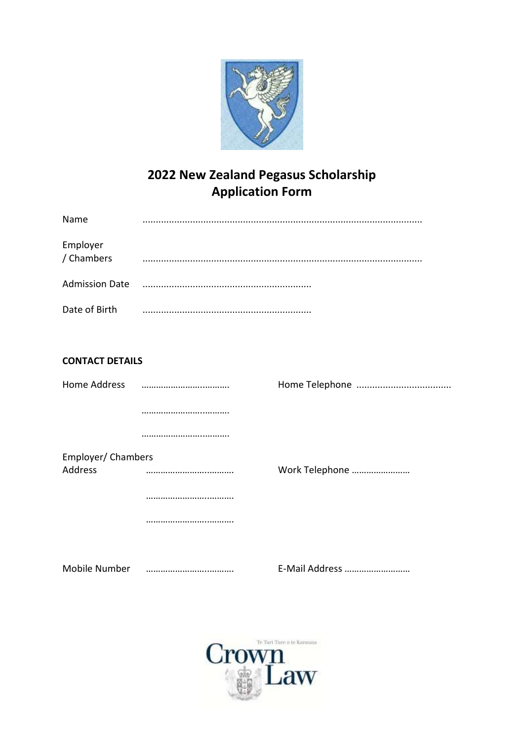

# 2022 New Zealand Pegasus Scholarship **Application Form**

| Name                   |  |
|------------------------|--|
| Employer<br>/ Chambers |  |
| <b>Admission Date</b>  |  |
| Date of Birth          |  |

# **CONTACT DETAILS**

| Home Address       |                |
|--------------------|----------------|
|                    |                |
|                    |                |
| Employer/ Chambers |                |
| Address            | Work Telephone |
|                    |                |
|                    |                |
|                    |                |
| Mobile Number      | E-Mail Address |

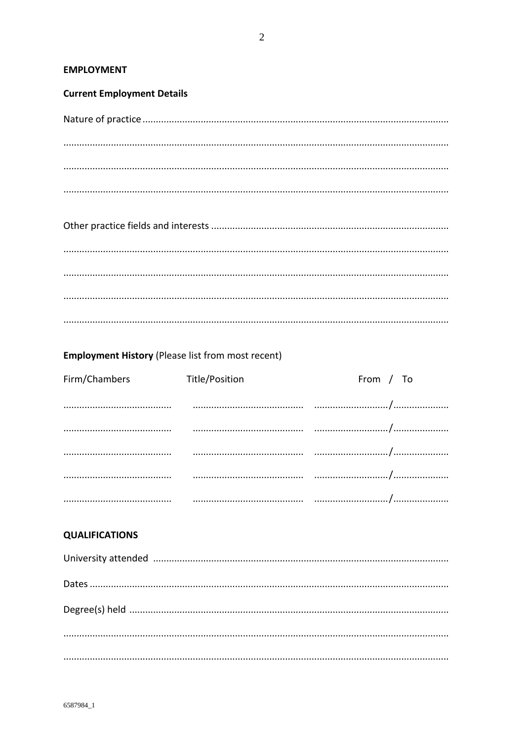#### **EMPLOYMENT**

# **Current Employment Details**

# **Employment History (Please list from most recent)**

| Firm/Chambers | Title/Position | From / To |
|---------------|----------------|-----------|
|               |                |           |
|               |                |           |
|               |                |           |
|               |                |           |
|               |                |           |

## **QUALIFICATIONS**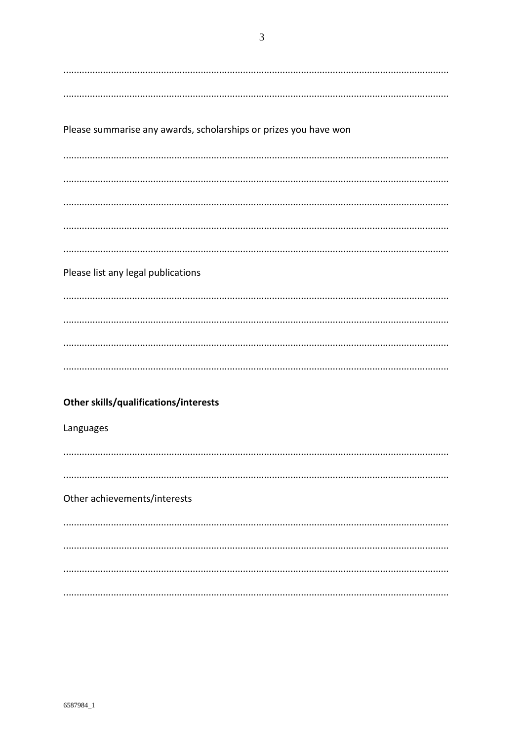## Please summarise any awards, scholarships or prizes you have won

Please list any legal publications 

## Other skills/qualifications/interests

#### Languages

### Other achievements/interests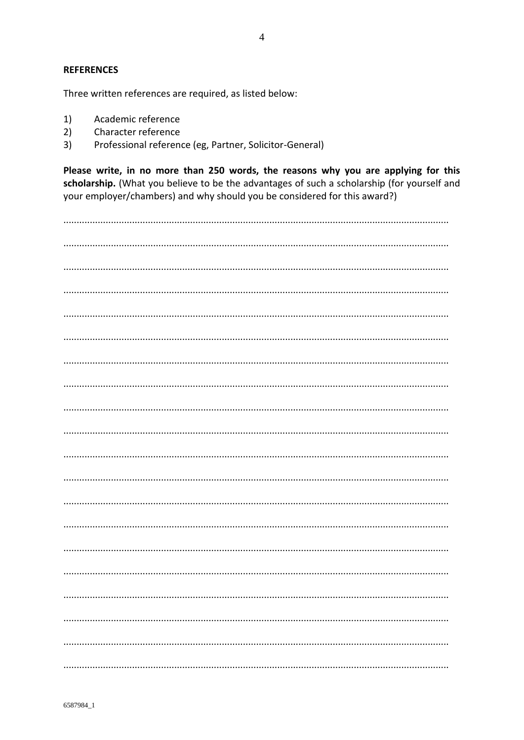#### **REFERENCES**

Three written references are required, as listed below:

- Academic reference  $1)$
- $2)$ Character reference
- $3)$ Professional reference (eg, Partner, Solicitor-General)

Please write, in no more than 250 words, the reasons why you are applying for this scholarship. (What you believe to be the advantages of such a scholarship (for yourself and your employer/chambers) and why should you be considered for this award?)